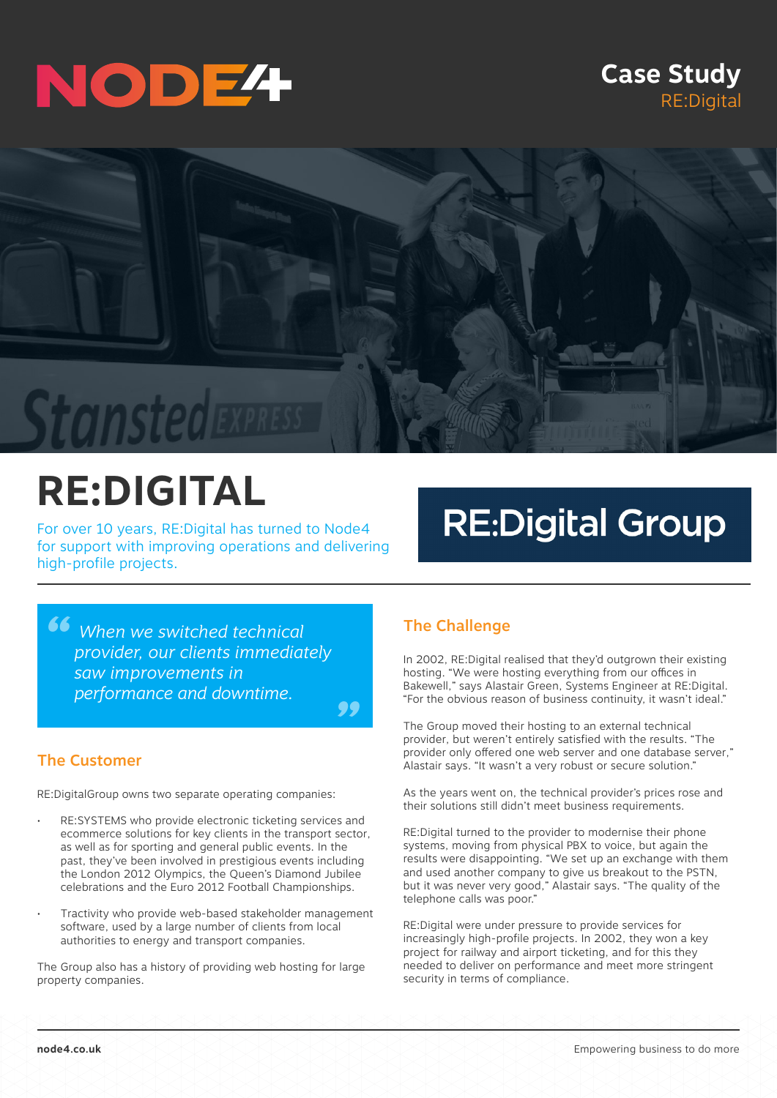# NODE<sup>4</sup>

### **Case Study** RE:Digital



## **RE:DIGITAL**

For over 10 years, RE:Digital has turned to Node4 for support with improving operations and delivering high-profile projects.

### **RE:Digital Group**

<sup>46</sup> When we switched technical provider, our clients immediat *provider, our clients immediately saw improvements in performance and downtime.*



#### The Customer

RE:DigitalGroup owns two separate operating companies:

- RE:SYSTEMS who provide electronic ticketing services and ecommerce solutions for key clients in the transport sector, as well as for sporting and general public events. In the past, they've been involved in prestigious events including the London 2012 Olympics, the Queen's Diamond Jubilee celebrations and the Euro 2012 Football Championships.
- Tractivity who provide web-based stakeholder management software, used by a large number of clients from local authorities to energy and transport companies.

The Group also has a history of providing web hosting for large property companies.

#### The Challenge

In 2002, RE:Digital realised that they'd outgrown their existing hosting. "We were hosting everything from our offices in Bakewell," says Alastair Green, Systems Engineer at RE:Digital. "For the obvious reason of business continuity, it wasn't ideal."

The Group moved their hosting to an external technical provider, but weren't entirely satisfied with the results. "The provider only offered one web server and one database server," Alastair says. "It wasn't a very robust or secure solution."

As the years went on, the technical provider's prices rose and their solutions still didn't meet business requirements.

RE:Digital turned to the provider to modernise their phone systems, moving from physical PBX to voice, but again the results were disappointing. "We set up an exchange with them and used another company to give us breakout to the PSTN, but it was never very good," Alastair says. "The quality of the telephone calls was poor."

RE:Digital were under pressure to provide services for increasingly high-profile projects. In 2002, they won a key project for railway and airport ticketing, and for this they needed to deliver on performance and meet more stringent security in terms of compliance.